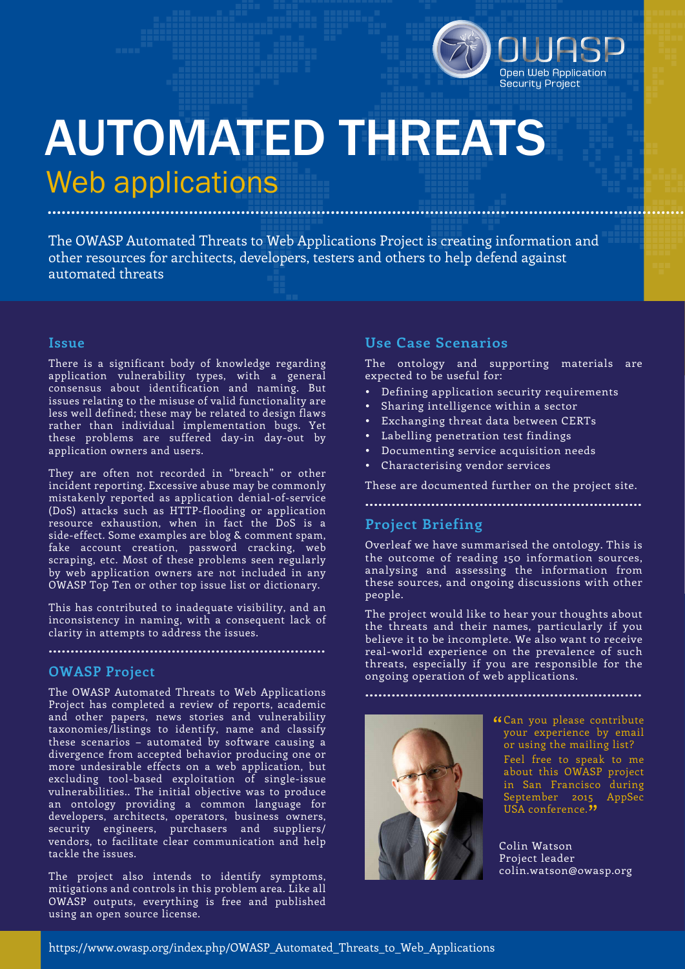

# AUTOMATED THREATS Web applications ............................................................................................................................................

The OWASP Automated Threats to Web Applications Project is creating information and other resources for architects, developers, testers and others to help defend against automated threats

#### **Issue**

There is a significant body of knowledge regarding application vulnerability types, with a general consensus about identification and naming. But issues relating to the misuse of valid functionality are less well defined; these may be related to design flaws rather than individual implementation bugs. Yet these problems are suffered day-in day-out by application owners and users.

They are often not recorded in "breach" or other incident reporting. Excessive abuse may be commonly mistakenly reported as application denial-of-service (DoS) attacks such as HTTP-flooding or application resource exhaustion, when in fact the DoS is a side-effect. Some examples are blog & comment spam, fake account creation, password cracking, web scraping, etc. Most of these problems seen regularly by web application owners are not included in any OWASP Top Ten or other top issue list or dictionary.

This has contributed to inadequate visibility, and an inconsistency in naming, with a consequent lack of clarity in attempts to address the issues.

**...............................................................**

#### **OWASP Project**

The OWASP Automated Threats to Web Applications Project has completed a review of reports, academic and other papers, news stories and vulnerability taxonomies/listings to identify, name and classify these scenarios – automated by software causing a divergence from accepted behavior producing one or more undesirable effects on a web application, but excluding tool-based exploitation of single-issue vulnerabilities.. The initial objective was to produce an ontology providing a common language for developers, architects, operators, business owners, security engineers, purchasers and suppliers/ vendors, to facilitate clear communication and help tackle the issues.

The project also intends to identify symptoms, mitigations and controls in this problem area. Like all OWASP outputs, everything is free and published using an open source license.

### **Use Case Scenarios**

The ontology and supporting materials are expected to be useful for:

- Defining application security requirements
- Sharing intelligence within a sector
- Exchanging threat data between CERTs
- Labelling penetration test findings
- Documenting service acquisition needs
- Characterising vendor services

These are documented further on the project site. **...............................................................**

## **Project Briefing**

Overleaf we have summarised the ontology. This is the outcome of reading 150 information sources, analysing and assessing the information from these sources, and ongoing discussions with other people.

The project would like to hear your thoughts about the threats and their names, particularly if you believe it to be incomplete. We also want to receive real-world experience on the prevalence of such threats, especially if you are responsible for the ongoing operation of web applications.

**...............................................................**



Can you please contribute " your experience by email or using the mailing list?

Feel free to speak to me about this OWASP project in San Francisco during September 2015 AppSec USA conference."

Colin Watson Project leader colin.watson@owasp.org